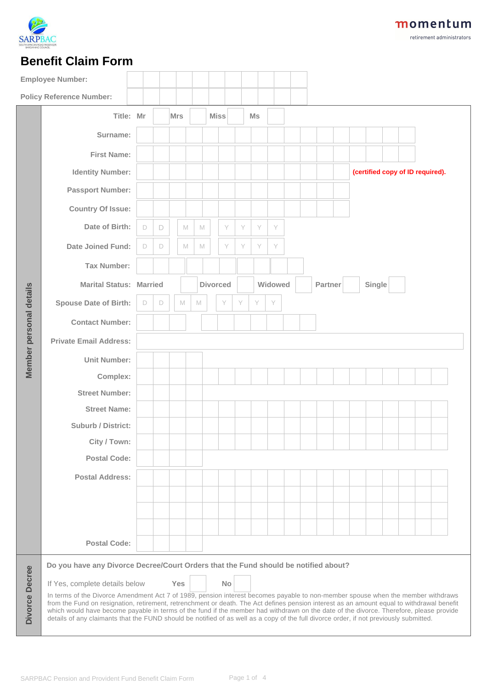

retirement administrators

## **Benefit Claim Form**

|                         | <b>Employee Number:</b>                                                                                                                                                                                                                                                                                                                                                                                                                                                                                                                                            |   |   |            |   |                 |             |           |   |    |         |  |  |         |  |  |        |  |  |  |                                  |  |
|-------------------------|--------------------------------------------------------------------------------------------------------------------------------------------------------------------------------------------------------------------------------------------------------------------------------------------------------------------------------------------------------------------------------------------------------------------------------------------------------------------------------------------------------------------------------------------------------------------|---|---|------------|---|-----------------|-------------|-----------|---|----|---------|--|--|---------|--|--|--------|--|--|--|----------------------------------|--|
|                         | <b>Policy Reference Number:</b>                                                                                                                                                                                                                                                                                                                                                                                                                                                                                                                                    |   |   |            |   |                 |             |           |   |    |         |  |  |         |  |  |        |  |  |  |                                  |  |
|                         | Title: Mr                                                                                                                                                                                                                                                                                                                                                                                                                                                                                                                                                          |   |   | <b>Mrs</b> |   |                 | <b>Miss</b> |           |   | Ms |         |  |  |         |  |  |        |  |  |  |                                  |  |
|                         | Surname:                                                                                                                                                                                                                                                                                                                                                                                                                                                                                                                                                           |   |   |            |   |                 |             |           |   |    |         |  |  |         |  |  |        |  |  |  |                                  |  |
|                         | <b>First Name:</b>                                                                                                                                                                                                                                                                                                                                                                                                                                                                                                                                                 |   |   |            |   |                 |             |           |   |    |         |  |  |         |  |  |        |  |  |  |                                  |  |
|                         | <b>Identity Number:</b>                                                                                                                                                                                                                                                                                                                                                                                                                                                                                                                                            |   |   |            |   |                 |             |           |   |    |         |  |  |         |  |  |        |  |  |  | (certified copy of ID required). |  |
|                         | <b>Passport Number:</b>                                                                                                                                                                                                                                                                                                                                                                                                                                                                                                                                            |   |   |            |   |                 |             |           |   |    |         |  |  |         |  |  |        |  |  |  |                                  |  |
|                         | <b>Country Of Issue:</b>                                                                                                                                                                                                                                                                                                                                                                                                                                                                                                                                           |   |   |            |   |                 |             |           |   |    |         |  |  |         |  |  |        |  |  |  |                                  |  |
|                         | Date of Birth:                                                                                                                                                                                                                                                                                                                                                                                                                                                                                                                                                     | D | D |            | M | M               |             | Y         | Y | Y  | Y       |  |  |         |  |  |        |  |  |  |                                  |  |
|                         | <b>Date Joined Fund:</b>                                                                                                                                                                                                                                                                                                                                                                                                                                                                                                                                           | D | D |            | M | M               |             | Y         | Y | Y  | Y       |  |  |         |  |  |        |  |  |  |                                  |  |
|                         | <b>Tax Number:</b>                                                                                                                                                                                                                                                                                                                                                                                                                                                                                                                                                 |   |   |            |   |                 |             |           |   |    |         |  |  |         |  |  |        |  |  |  |                                  |  |
| Member personal details | <b>Marital Status: Married</b>                                                                                                                                                                                                                                                                                                                                                                                                                                                                                                                                     |   |   |            |   | <b>Divorced</b> |             |           |   |    | Widowed |  |  | Partner |  |  | Single |  |  |  |                                  |  |
|                         | <b>Spouse Date of Birth:</b>                                                                                                                                                                                                                                                                                                                                                                                                                                                                                                                                       | D | D |            | M | $\mathbb M$     |             | Y         | Y | Y  | Y       |  |  |         |  |  |        |  |  |  |                                  |  |
|                         | <b>Contact Number:</b>                                                                                                                                                                                                                                                                                                                                                                                                                                                                                                                                             |   |   |            |   |                 |             |           |   |    |         |  |  |         |  |  |        |  |  |  |                                  |  |
|                         | <b>Private Email Address:</b>                                                                                                                                                                                                                                                                                                                                                                                                                                                                                                                                      |   |   |            |   |                 |             |           |   |    |         |  |  |         |  |  |        |  |  |  |                                  |  |
|                         | <b>Unit Number:</b>                                                                                                                                                                                                                                                                                                                                                                                                                                                                                                                                                |   |   |            |   |                 |             |           |   |    |         |  |  |         |  |  |        |  |  |  |                                  |  |
|                         | Complex:                                                                                                                                                                                                                                                                                                                                                                                                                                                                                                                                                           |   |   |            |   |                 |             |           |   |    |         |  |  |         |  |  |        |  |  |  |                                  |  |
|                         | <b>Street Number:</b>                                                                                                                                                                                                                                                                                                                                                                                                                                                                                                                                              |   |   |            |   |                 |             |           |   |    |         |  |  |         |  |  |        |  |  |  |                                  |  |
|                         | <b>Street Name:</b>                                                                                                                                                                                                                                                                                                                                                                                                                                                                                                                                                |   |   |            |   |                 |             |           |   |    |         |  |  |         |  |  |        |  |  |  |                                  |  |
|                         | <b>Suburb / District:</b>                                                                                                                                                                                                                                                                                                                                                                                                                                                                                                                                          |   |   |            |   |                 |             |           |   |    |         |  |  |         |  |  |        |  |  |  |                                  |  |
|                         | City / Town:                                                                                                                                                                                                                                                                                                                                                                                                                                                                                                                                                       |   |   |            |   |                 |             |           |   |    |         |  |  |         |  |  |        |  |  |  |                                  |  |
|                         | <b>Postal Code:</b>                                                                                                                                                                                                                                                                                                                                                                                                                                                                                                                                                |   |   |            |   |                 |             |           |   |    |         |  |  |         |  |  |        |  |  |  |                                  |  |
|                         | <b>Postal Address:</b>                                                                                                                                                                                                                                                                                                                                                                                                                                                                                                                                             |   |   |            |   |                 |             |           |   |    |         |  |  |         |  |  |        |  |  |  |                                  |  |
|                         |                                                                                                                                                                                                                                                                                                                                                                                                                                                                                                                                                                    |   |   |            |   |                 |             |           |   |    |         |  |  |         |  |  |        |  |  |  |                                  |  |
|                         |                                                                                                                                                                                                                                                                                                                                                                                                                                                                                                                                                                    |   |   |            |   |                 |             |           |   |    |         |  |  |         |  |  |        |  |  |  |                                  |  |
|                         |                                                                                                                                                                                                                                                                                                                                                                                                                                                                                                                                                                    |   |   |            |   |                 |             |           |   |    |         |  |  |         |  |  |        |  |  |  |                                  |  |
|                         | <b>Postal Code:</b>                                                                                                                                                                                                                                                                                                                                                                                                                                                                                                                                                |   |   |            |   |                 |             |           |   |    |         |  |  |         |  |  |        |  |  |  |                                  |  |
|                         | Do you have any Divorce Decree/Court Orders that the Fund should be notified about?                                                                                                                                                                                                                                                                                                                                                                                                                                                                                |   |   |            |   |                 |             |           |   |    |         |  |  |         |  |  |        |  |  |  |                                  |  |
|                         | If Yes, complete details below                                                                                                                                                                                                                                                                                                                                                                                                                                                                                                                                     |   |   | <b>Yes</b> |   |                 |             | <b>No</b> |   |    |         |  |  |         |  |  |        |  |  |  |                                  |  |
| Divorce Decree          | In terms of the Divorce Amendment Act 7 of 1989, pension interest becomes payable to non-member spouse when the member withdraws<br>from the Fund on resignation, retirement, retrenchment or death. The Act defines pension interest as an amount equal to withdrawal benefit<br>which would have become payable in terms of the fund if the member had withdrawn on the date of the divorce. Therefore, please provide<br>details of any claimants that the FUND should be notified of as well as a copy of the full divorce order, if not previously submitted. |   |   |            |   |                 |             |           |   |    |         |  |  |         |  |  |        |  |  |  |                                  |  |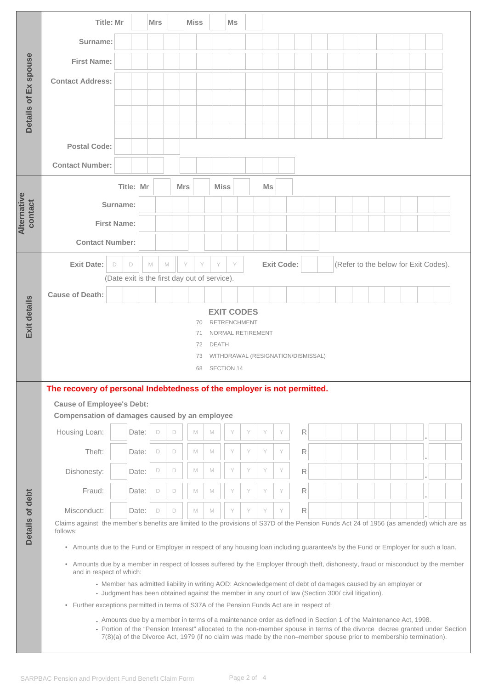|                        |                                                                                                                                                                  | <b>Title: Mr</b>                                                                                                                                |           | <b>Mrs</b> |   |                                                                                                                                                                                                                     | <b>Miss</b> |   | Ms          |   |    |                   |  |   |  |  |                                      |  |  |  |  |  |
|------------------------|------------------------------------------------------------------------------------------------------------------------------------------------------------------|-------------------------------------------------------------------------------------------------------------------------------------------------|-----------|------------|---|---------------------------------------------------------------------------------------------------------------------------------------------------------------------------------------------------------------------|-------------|---|-------------|---|----|-------------------|--|---|--|--|--------------------------------------|--|--|--|--|--|
|                        | Surname:                                                                                                                                                         |                                                                                                                                                 |           |            |   |                                                                                                                                                                                                                     |             |   |             |   |    |                   |  |   |  |  |                                      |  |  |  |  |  |
|                        | <b>First Name:</b>                                                                                                                                               |                                                                                                                                                 |           |            |   |                                                                                                                                                                                                                     |             |   |             |   |    |                   |  |   |  |  |                                      |  |  |  |  |  |
| Details of Ex spouse   | <b>Contact Address:</b>                                                                                                                                          |                                                                                                                                                 |           |            |   |                                                                                                                                                                                                                     |             |   |             |   |    |                   |  |   |  |  |                                      |  |  |  |  |  |
|                        |                                                                                                                                                                  |                                                                                                                                                 |           |            |   |                                                                                                                                                                                                                     |             |   |             |   |    |                   |  |   |  |  |                                      |  |  |  |  |  |
|                        |                                                                                                                                                                  |                                                                                                                                                 |           |            |   |                                                                                                                                                                                                                     |             |   |             |   |    |                   |  |   |  |  |                                      |  |  |  |  |  |
|                        |                                                                                                                                                                  |                                                                                                                                                 |           |            |   |                                                                                                                                                                                                                     |             |   |             |   |    |                   |  |   |  |  |                                      |  |  |  |  |  |
|                        | <b>Postal Code:</b>                                                                                                                                              |                                                                                                                                                 |           |            |   |                                                                                                                                                                                                                     |             |   |             |   |    |                   |  |   |  |  |                                      |  |  |  |  |  |
|                        | <b>Contact Number:</b>                                                                                                                                           |                                                                                                                                                 |           |            |   |                                                                                                                                                                                                                     |             |   |             |   |    |                   |  |   |  |  |                                      |  |  |  |  |  |
|                        |                                                                                                                                                                  |                                                                                                                                                 | Title: Mr |            |   | <b>Mrs</b>                                                                                                                                                                                                          |             |   | <b>Miss</b> |   | Ms |                   |  |   |  |  |                                      |  |  |  |  |  |
| Alternative<br>contact |                                                                                                                                                                  | Surname:                                                                                                                                        |           |            |   |                                                                                                                                                                                                                     |             |   |             |   |    |                   |  |   |  |  |                                      |  |  |  |  |  |
|                        | <b>First Name:</b>                                                                                                                                               |                                                                                                                                                 |           |            |   |                                                                                                                                                                                                                     |             |   |             |   |    |                   |  |   |  |  |                                      |  |  |  |  |  |
|                        | <b>Contact Number:</b>                                                                                                                                           |                                                                                                                                                 |           |            |   |                                                                                                                                                                                                                     |             |   |             |   |    |                   |  |   |  |  |                                      |  |  |  |  |  |
|                        | <b>Exit Date:</b>                                                                                                                                                | D                                                                                                                                               | $\Box$    | M          | M | Y                                                                                                                                                                                                                   | Y           | Y | Y           |   |    | <b>Exit Code:</b> |  |   |  |  | (Refer to the below for Exit Codes). |  |  |  |  |  |
| Exit details           |                                                                                                                                                                  |                                                                                                                                                 |           |            |   | (Date exit is the first day out of service).                                                                                                                                                                        |             |   |             |   |    |                   |  |   |  |  |                                      |  |  |  |  |  |
|                        | <b>Cause of Death:</b>                                                                                                                                           |                                                                                                                                                 |           |            |   |                                                                                                                                                                                                                     |             |   |             |   |    |                   |  |   |  |  |                                      |  |  |  |  |  |
|                        | <b>EXIT CODES</b><br><b>RETRENCHMENT</b><br>70                                                                                                                   |                                                                                                                                                 |           |            |   |                                                                                                                                                                                                                     |             |   |             |   |    |                   |  |   |  |  |                                      |  |  |  |  |  |
|                        | NORMAL RETIREMENT<br>71<br><b>DEATH</b><br>72                                                                                                                    |                                                                                                                                                 |           |            |   |                                                                                                                                                                                                                     |             |   |             |   |    |                   |  |   |  |  |                                      |  |  |  |  |  |
|                        | WITHDRAWAL (RESIGNATION/DISMISSAL)<br>73                                                                                                                         |                                                                                                                                                 |           |            |   |                                                                                                                                                                                                                     |             |   |             |   |    |                   |  |   |  |  |                                      |  |  |  |  |  |
|                        |                                                                                                                                                                  |                                                                                                                                                 |           |            |   |                                                                                                                                                                                                                     | 68          |   | SECTION 14  |   |    |                   |  |   |  |  |                                      |  |  |  |  |  |
|                        |                                                                                                                                                                  | The recovery of personal Indebtedness of the employer is not permitted.                                                                         |           |            |   |                                                                                                                                                                                                                     |             |   |             |   |    |                   |  |   |  |  |                                      |  |  |  |  |  |
|                        | <b>Cause of Employee's Debt:</b><br>Compensation of damages caused by an employee                                                                                |                                                                                                                                                 |           |            |   |                                                                                                                                                                                                                     |             |   |             |   |    |                   |  |   |  |  |                                      |  |  |  |  |  |
|                        | Housing Loan:                                                                                                                                                    |                                                                                                                                                 | Date:     | $\Box$     |   | D                                                                                                                                                                                                                   | M           | M | Y           | Y | Y  | Y                 |  | R |  |  |                                      |  |  |  |  |  |
|                        | Theft:                                                                                                                                                           |                                                                                                                                                 | Date:     | $\Box$     |   | D                                                                                                                                                                                                                   | M           | M | Y           | Y | Y  | Y                 |  | R |  |  |                                      |  |  |  |  |  |
|                        | Dishonesty:                                                                                                                                                      |                                                                                                                                                 | Date:     | $\Box$     |   | D                                                                                                                                                                                                                   | M           | M | Y           | Y | Y  | Y                 |  | R |  |  |                                      |  |  |  |  |  |
|                        | Fraud:                                                                                                                                                           |                                                                                                                                                 | Date:     | $\Box$     |   | $\Box$                                                                                                                                                                                                              | M           | M | Y           | Y | Y  | Y                 |  | R |  |  |                                      |  |  |  |  |  |
|                        | Misconduct:                                                                                                                                                      |                                                                                                                                                 | Date:     | $\Box$     |   | $\Box$                                                                                                                                                                                                              | M           | M | Y           | Y | Y  | Y                 |  | R |  |  |                                      |  |  |  |  |  |
| Details of debt        | Claims against the member's benefits are limited to the provisions of S37D of the Pension Funds Act 24 of 1956 (as amended) which are as                         |                                                                                                                                                 |           |            |   |                                                                                                                                                                                                                     |             |   |             |   |    |                   |  |   |  |  |                                      |  |  |  |  |  |
|                        |                                                                                                                                                                  | follows:<br>• Amounts due to the Fund or Employer in respect of any housing loan including guarantee/s by the Fund or Employer for such a loan. |           |            |   |                                                                                                                                                                                                                     |             |   |             |   |    |                   |  |   |  |  |                                      |  |  |  |  |  |
|                        | • Amounts due by a member in respect of losses suffered by the Employer through theft, dishonesty, fraud or misconduct by the member<br>and in respect of which: |                                                                                                                                                 |           |            |   |                                                                                                                                                                                                                     |             |   |             |   |    |                   |  |   |  |  |                                      |  |  |  |  |  |
|                        |                                                                                                                                                                  |                                                                                                                                                 |           |            |   | - Member has admitted liability in writing AOD: Acknowledgement of debt of damages caused by an employer or<br>- Judgment has been obtained against the member in any court of law (Section 300/ civil litigation). |             |   |             |   |    |                   |  |   |  |  |                                      |  |  |  |  |  |
|                        | • Further exceptions permitted in terms of S37A of the Pension Funds Act are in respect of:                                                                      |                                                                                                                                                 |           |            |   |                                                                                                                                                                                                                     |             |   |             |   |    |                   |  |   |  |  |                                      |  |  |  |  |  |
|                        |                                                                                                                                                                  |                                                                                                                                                 |           |            |   | - Amounts due by a member in terms of a maintenance order as defined in Section 1 of the Maintenance Act, 1998.                                                                                                     |             |   |             |   |    |                   |  |   |  |  |                                      |  |  |  |  |  |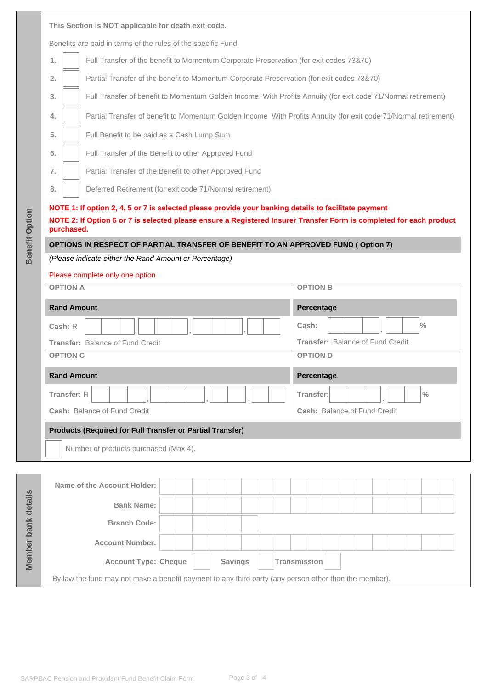|                       |                    | This Section is NOT applicable for death exit code.                                                                               |                                         |  |  |  |  |  |  |  |  |  |  |  |  |  |
|-----------------------|--------------------|-----------------------------------------------------------------------------------------------------------------------------------|-----------------------------------------|--|--|--|--|--|--|--|--|--|--|--|--|--|
|                       |                    | Benefits are paid in terms of the rules of the specific Fund.                                                                     |                                         |  |  |  |  |  |  |  |  |  |  |  |  |  |
|                       | 1.                 | Full Transfer of the benefit to Momentum Corporate Preservation (for exit codes 73&70)                                            |                                         |  |  |  |  |  |  |  |  |  |  |  |  |  |
|                       | 2.                 | Partial Transfer of the benefit to Momentum Corporate Preservation (for exit codes 73&70)                                         |                                         |  |  |  |  |  |  |  |  |  |  |  |  |  |
|                       | 3.                 | Full Transfer of benefit to Momentum Golden Income With Profits Annuity (for exit code 71/Normal retirement)                      |                                         |  |  |  |  |  |  |  |  |  |  |  |  |  |
|                       | 4.                 | Partial Transfer of benefit to Momentum Golden Income With Profits Annuity (for exit code 71/Normal retirement)                   |                                         |  |  |  |  |  |  |  |  |  |  |  |  |  |
|                       | 5.                 | Full Benefit to be paid as a Cash Lump Sum                                                                                        |                                         |  |  |  |  |  |  |  |  |  |  |  |  |  |
|                       | 6.                 | Full Transfer of the Benefit to other Approved Fund                                                                               |                                         |  |  |  |  |  |  |  |  |  |  |  |  |  |
|                       | 7.                 | Partial Transfer of the Benefit to other Approved Fund                                                                            |                                         |  |  |  |  |  |  |  |  |  |  |  |  |  |
|                       | 8.                 | Deferred Retirement (for exit code 71/Normal retirement)                                                                          |                                         |  |  |  |  |  |  |  |  |  |  |  |  |  |
|                       |                    | NOTE 1: If option 2, 4, 5 or 7 is selected please provide your banking details to facilitate payment                              |                                         |  |  |  |  |  |  |  |  |  |  |  |  |  |
| <b>Benefit Option</b> |                    | NOTE 2: If Option 6 or 7 is selected please ensure a Registered Insurer Transfer Form is completed for each product<br>purchased. |                                         |  |  |  |  |  |  |  |  |  |  |  |  |  |
|                       |                    | OPTIONS IN RESPECT OF PARTIAL TRANSFER OF BENEFIT TO AN APPROVED FUND (Option 7)                                                  |                                         |  |  |  |  |  |  |  |  |  |  |  |  |  |
|                       |                    | (Please indicate either the Rand Amount or Percentage)                                                                            |                                         |  |  |  |  |  |  |  |  |  |  |  |  |  |
|                       |                    | Please complete only one option                                                                                                   |                                         |  |  |  |  |  |  |  |  |  |  |  |  |  |
|                       | <b>OPTION A</b>    |                                                                                                                                   | <b>OPTION B</b>                         |  |  |  |  |  |  |  |  |  |  |  |  |  |
|                       | <b>Rand Amount</b> |                                                                                                                                   | Percentage                              |  |  |  |  |  |  |  |  |  |  |  |  |  |
|                       | Cash: R            |                                                                                                                                   | $\frac{0}{0}$<br>Cash:                  |  |  |  |  |  |  |  |  |  |  |  |  |  |
|                       |                    | Transfer: Balance of Fund Credit                                                                                                  | <b>Transfer: Balance of Fund Credit</b> |  |  |  |  |  |  |  |  |  |  |  |  |  |
|                       | <b>OPTION C</b>    |                                                                                                                                   | <b>OPTION D</b>                         |  |  |  |  |  |  |  |  |  |  |  |  |  |
|                       | <b>Rand Amount</b> |                                                                                                                                   | Percentage                              |  |  |  |  |  |  |  |  |  |  |  |  |  |
|                       | Transfer: R        |                                                                                                                                   | Transfer:<br>$\frac{0}{0}$              |  |  |  |  |  |  |  |  |  |  |  |  |  |
|                       |                    | Cash: Balance of Fund Credit                                                                                                      | Cash: Balance of Fund Credit            |  |  |  |  |  |  |  |  |  |  |  |  |  |
|                       |                    | <b>Products (Required for Full Transfer or Partial Transfer)</b>                                                                  |                                         |  |  |  |  |  |  |  |  |  |  |  |  |  |
|                       |                    | Number of products purchased (Max 4).                                                                                             |                                         |  |  |  |  |  |  |  |  |  |  |  |  |  |
|                       |                    |                                                                                                                                   |                                         |  |  |  |  |  |  |  |  |  |  |  |  |  |
|                       |                    | Name of the Account Holder:                                                                                                       |                                         |  |  |  |  |  |  |  |  |  |  |  |  |  |
|                       |                    | <b>Bank Name:</b>                                                                                                                 |                                         |  |  |  |  |  |  |  |  |  |  |  |  |  |
|                       |                    | <b>Branch Code:</b>                                                                                                               |                                         |  |  |  |  |  |  |  |  |  |  |  |  |  |
| Member bank details   |                    | <b>Account Number:</b>                                                                                                            |                                         |  |  |  |  |  |  |  |  |  |  |  |  |  |
|                       |                    |                                                                                                                                   |                                         |  |  |  |  |  |  |  |  |  |  |  |  |  |

By law the fund may not make a benefit payment to any third party (any person other than the member).